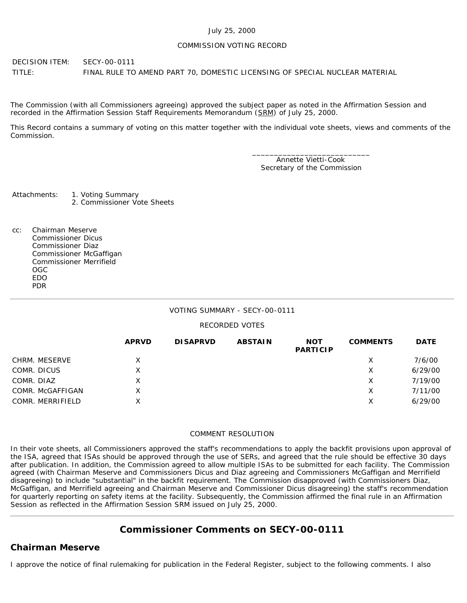### July 25, 2000

### COMMISSION VOTING RECORD

DECISION ITEM: SECY-00-0111 TITLE: FINAL RULE TO AMEND PART 70, DOMESTIC LICENSING OF SPECIAL NUCLEAR MATERIAL

The Commission (with all Commissioners agreeing) approved the subject paper as noted in the Affirmation Session and recorded in the Affirmation Session Staff Requirements Memorandum (SRM) of July 25, 2000.

This Record contains a summary of voting on this matter together with the individual vote sheets, views and comments of the Commission.

> \_\_\_\_\_\_\_\_\_\_\_\_\_\_\_\_\_\_\_\_\_\_\_\_\_\_\_ Annette Vietti-Cook Secretary of the Commission

Attachments: 1. Voting Summary 2. Commissioner Vote Sheets

cc: Chairman Meserve Commissioner Dicus Commissioner Diaz Commissioner McGaffigan Commissioner Merrifield OGC EDO PDR

### VOTING SUMMARY - SECY-00-0111

### RECORDED VOTES

|                  | <b>APRVD</b> | <b>DISAPRVD</b> | <b>ABSTAIN</b> | <b>NOT</b><br><b>PARTICIP</b> | <b>COMMENTS</b> | <b>DATE</b> |
|------------------|--------------|-----------------|----------------|-------------------------------|-----------------|-------------|
| CHRM. MESERVE    | X            |                 |                |                               | Х               | 7/6/00      |
| COMR. DICUS      | X            |                 |                |                               | X               | 6/29/00     |
| COMR. DIAZ       | X.           |                 |                |                               | Х               | 7/19/00     |
| COMR. McGAFFIGAN | X            |                 |                |                               | х               | 7/11/00     |
| COMR. MERRIFIELD | X.           |                 |                |                               | х               | 6/29/00     |

### COMMENT RESOLUTION

In their vote sheets, all Commissioners approved the staff's recommendations to apply the backfit provisions upon approval of the ISA, agreed that ISAs should be approved through the use of SERs, and agreed that the rule should be effective 30 days after publication. In addition, the Commission agreed to allow multiple ISAs to be submitted for each facility. The Commission agreed (with Chairman Meserve and Commissioners Dicus and Diaz agreeing and Commissioners McGaffigan and Merrifield disagreeing) to include "substantial" in the backfit requirement. The Commission disapproved (with Commissioners Diaz, McGaffigan, and Merrifield agreeing and Chairman Meserve and Commissioner Dicus disagreeing) the staff's recommendation for quarterly reporting on safety items at the facility. Subsequently, the Commission affirmed the final rule in an Affirmation Session as reflected in the Affirmation Session SRM issued on July 25, 2000.

# **Commissioner Comments on [SECY-00-0111](http://www.nrc.gov/reading-rm/doc-collections/commission/secys/2000/secy2000-0111/2000-0111scy.html)**

# **Chairman Meserve**

I approve the notice of final rulemaking for publication in the Federal Register, subject to the following comments. I also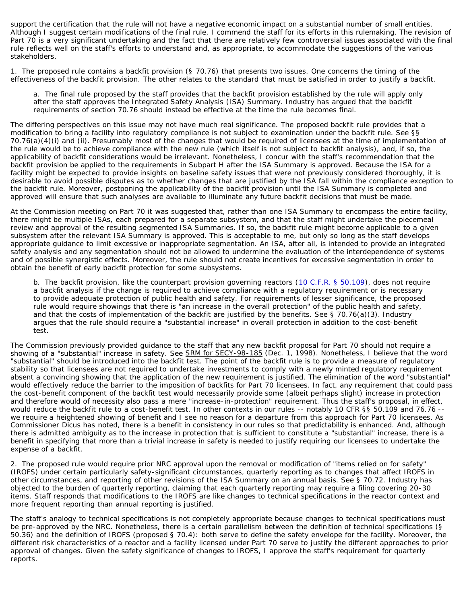support the certification that the rule will not have a negative economic impact on a substantial number of small entities. Although I suggest certain modifications of the final rule, I commend the staff for its efforts in this rulemaking. The revision of Part 70 is a very significant undertaking and the fact that there are relatively few controversial issues associated with the final rule reflects well on the staff's efforts to understand and, as appropriate, to accommodate the suggestions of the various stakeholders.

1. The proposed rule contains a backfit provision (§ 70.76) that presents two issues. One concerns the timing of the effectiveness of the backfit provision. The other relates to the standard that must be satisfied in order to justify a backfit.

a. The final rule proposed by the staff provides that the backfit provision established by the rule will apply only after the staff approves the Integrated Safety Analysis (ISA) Summary. Industry has argued that the backfit requirements of section 70.76 should instead be effective at the time the rule becomes final.

The differing perspectives on this issue may not have much real significance. The proposed backfit rule provides that a modification to bring a facility into regulatory compliance is not subject to examination under the backfit rule. See §§ 70.76(a)(4)(i) and (ii). Presumably most of the changes that would be required of licensees at the time of implementation of the rule would be to achieve compliance with the new rule (which itself is not subject to backfit analysis), and, if so, the applicability of backfit considerations would be irrelevant. Nonetheless, I concur with the staff's recommendation that the backfit provision be applied to the requirements in Subpart H after the ISA Summary is approved. Because the ISA for a facility might be expected to provide insights on baseline safety issues that were not previously considered thoroughly, it is desirable to avoid possible disputes as to whether changes that are justified by the ISA fall within the compliance exception to the backfit rule. Moreover, postponing the applicability of the backfit provision until the ISA Summary is completed and approved will ensure that such analyses are available to illuminate any future backfit decisions that must be made.

At the Commission meeting on Part 70 it was suggested that, rather than one ISA Summary to encompass the entire facility, there might be multiple ISAs, each prepared for a separate subsystem, and that the staff might undertake the piecemeal review and approval of the resulting segmented ISA Summaries. If so, the backfit rule might become applicable to a given subsystem after the relevant ISA Summary is approved. This is acceptable to me, but only so long as the staff develops appropriate guidance to limit excessive or inappropriate segmentation. An ISA, after all, is intended to provide an integrated safety analysis and any segmentation should not be allowed to undermine the evaluation of the interdependence of systems and of possible synergistic effects. Moreover, the rule should not create incentives for excessive segmentation in order to obtain the benefit of early backfit protection for some subsystems.

b. The backfit provision, like the counterpart provision governing reactors ([10 C.F.R. § 50.109\)](http://www.nrc.gov/reading-rm/doc-collections/cfr/part050/part050-0109.html), does not require a backfit analysis if the change is required to achieve compliance with a regulatory requirement or is necessary to provide adequate protection of public health and safety. For requirements of lesser significance, the proposed rule would require showings that there is "an increase in the overall protection" of the public health and safety, and that the costs of implementation of the backfit are justified by the benefits. See § 70.76(a)(3). Industry argues that the rule should require a "substantial increase" in overall protection in addition to the cost-benefit test.

The Commission previously provided guidance to the staff that any new backfit proposal for Part 70 should not require a showing of a "substantial" increase in safety. See SRM for SECY-98-185 (Dec. 1, 1998). Nonetheless, I believe that the word "substantial" should be introduced into the backfit test. The point of the backfit rule is to provide a measure of regulatory stability so that licensees are not required to undertake investments to comply with a newly minted regulatory requirement absent a convincing showing that the application of the new requirement is justified. The elimination of the word "substantial" would effectively reduce the barrier to the imposition of backfits for Part 70 licensees. In fact, any requirement that could pass the cost-benefit component of the backfit test would necessarily provide some (albeit perhaps slight) increase in protection and therefore would of necessity also pass a mere "increase-in-protection" requirement. Thus the staff's proposal, in effect, would reduce the backfit rule to a cost-benefit test. In other contexts in our rules -- notably 10 CFR §§ 50.109 and 76.76 - we require a heightened showing of benefit and I see no reason for a departure from this approach for Part 70 licensees. As Commissioner Dicus has noted, there is a benefit in consistency in our rules so that predictability is enhanced. And, although there is admitted ambiguity as to the increase in protection that is sufficient to constitute a "substantial" increase, there is a benefit in specifying that more than a trivial increase in safety is needed to justify requiring our licensees to undertake the expense of a backfit.

2. The proposed rule would require prior NRC approval upon the removal or modification of "items relied on for safety" (IROFS) under certain particularly safety-significant circumstances, quarterly reporting as to changes that affect IROFS in other circumstances, and reporting of other revisions of the ISA Summary on an annual basis. See § 70.72. Industry has objected to the burden of quarterly reporting, claiming that each quarterly reporting may require a filing covering 20-30 items. Staff responds that modifications to the IROFS are like changes to technical specifications in the reactor context and more frequent reporting than annual reporting is justified.

The staff's analogy to technical specifications is not completely appropriate because changes to technical specifications must be pre-approved by the NRC. Nonetheless, there is a certain parallelism between the definition of technical specifications (§ 50.36) and the definition of IROFS (proposed § 70.4): both serve to define the safety envelope for the facility. Moreover, the different risk characteristics of a reactor and a facility licensed under Part 70 serve to justify the different approaches to prior approval of changes. Given the safety significance of changes to IROFS, I approve the staff's requirement for quarterly reports.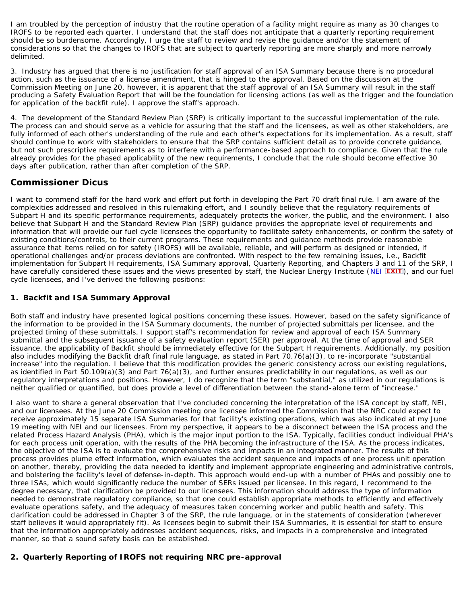I am troubled by the perception of industry that the routine operation of a facility might require as many as 30 changes to IROFS to be reported each quarter. I understand that the staff does not anticipate that a quarterly reporting requirement should be so burdensome. Accordingly, I urge the staff to review and revise the guidance and/or the statement of considerations so that the changes to IROFS that are subject to quarterly reporting are more sharply and more narrowly delimited.

3. Industry has argued that there is no justification for staff approval of an ISA Summary because there is no procedural action, such as the issuance of a license amendment, that is hinged to the approval. Based on the discussion at the Commission Meeting on June 20, however, it is apparent that the staff approval of an ISA Summary will result in the staff producing a Safety Evaluation Report that will be the foundation for licensing actions (as well as the trigger and the foundation for application of the backfit rule). I approve the staff's approach.

4. The development of the Standard Review Plan (SRP) is critically important to the successful implementation of the rule. The process can and should serve as a vehicle for assuring that the staff and the licensees, as well as other stakeholders, are fully informed of each other's understanding of the rule and each other's expectations for its implementation. As a result, staff should continue to work with stakeholders to ensure that the SRP contains sufficient detail as to provide concrete guidance, but not such prescriptive requirements as to interfere with a performance-based approach to compliance. Given that the rule already provides for the phased applicability of the new requirements, I conclude that the rule should become effective 30 days after publication, rather than after completion of the SRP.

# **Commissioner Dicus**

I want to commend staff for the hard work and effort put forth in developing the Part 70 draft final rule. I am aware of the complexities addressed and resolved in this rulemaking effort, and I soundly believe that the regulatory requirements of Subpart H and its specific performance requirements, adequately protects the worker, the public, and the environment. I also believe that Subpart H and the Standard Review Plan (SRP) guidance provides the appropriate level of requirements and information that will provide our fuel cycle licensees the opportunity to facilitate safety enhancements, or confirm the safety of existing conditions/controls, to their current programs. These requirements and guidance methods provide reasonable assurance that items relied on for safety (IROFS) will be available, reliable, and will perform as designed or intended, if operational challenges and/or process deviations are confronted. With respect to the few remaining issues, i.e., Backfit implementation for Subpart H requirements, ISA Summary approval, Quarterly Reporting, and Chapters 3 and 11 of the SRP, I have carefully considered these issues and the views presented by staff, the Nuclear Energy Institute ([NEI](http://www.nei.org/) **EXIT**), and our fuel cycle licensees, and I've derived the following positions:

## **1. Backfit and ISA Summary Approval**

Both staff and industry have presented logical positions concerning these issues. However, based on the safety significance of the information to be provided in the ISA Summary documents, the number of projected submittals per licensee, and the projected timing of these submittals, I support staff's recommendation for review and approval of each ISA Summary submittal and the subsequent issuance of a safety evaluation report (SER) per approval. At the time of approval and SER issuance, the applicability of Backfit should be immediately effective for the Subpart H requirements. Additionally, my position also includes modifying the Backfit draft final rule language, as stated in Part 70.76(a)(3), to re-incorporate "substantial increase" into the regulation. I believe that this modification provides the generic consistency across our existing regulations, as identified in Part 50.109(a)(3) and Part 76(a)(3), and further ensures predictability in our regulations, as well as our regulatory interpretations and positions. However, I do recognize that the term "substantial," as utilized in our regulations is neither qualified or quantified, but does provide a level of differentiation between the stand-alone term of "increase."

I also want to share a general observation that I've concluded concerning the interpretation of the ISA concept by staff, NEI, and our licensees. At the June 20 Commission meeting one licensee informed the Commission that the NRC could expect to receive approximately 15 separate ISA Summaries for that facility's existing operations, which was also indicated at my June 19 meeting with NEI and our licensees. From my perspective, it appears to be a disconnect between the ISA process and the related Process Hazard Analysis (PHA), which is the major input portion to the ISA. Typically, facilities conduct individual PHA's for each process unit operation, with the results of the PHA becoming the infrastructure of the ISA. As the process indicates, the objective of the ISA is to evaluate the comprehensive risks and impacts in an integrated manner. The results of this process provides plume effect information, which evaluates the accident sequence and impacts of one process unit operation on another, thereby, providing the data needed to identify and implement appropriate engineering and administrative controls, and bolstering the facility's level of defense-in-depth. This approach would end-up with a number of PHAs and possibly one to three ISAs, which would significantly reduce the number of SERs issued per licensee. In this regard, I recommend to the degree necessary, that clarification be provided to our licensees. This information should address the type of information needed to demonstrate regulatory compliance, so that one could establish appropriate methods to efficiently and effectively evaluate operations safety, and the adequacy of measures taken concerning worker and public health and safety. This clarification could be addressed in Chapter 3 of the SRP, the rule language, or in the statements of consideration (wherever staff believes it would appropriately fit). As licensees begin to submit their ISA Summaries, it is essential for staff to ensure that the information appropriately addresses accident sequences, risks, and impacts in a comprehensive and integrated manner, so that a sound safety basis can be established.

# **2. Quarterly Reporting of IROFS not requiring NRC pre-approval**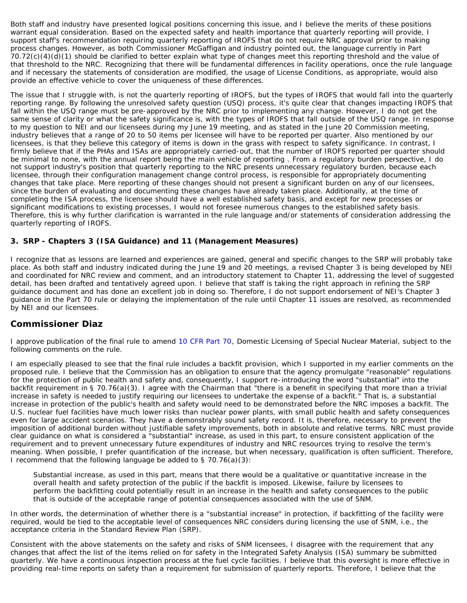Both staff and industry have presented logical positions concerning this issue, and I believe the merits of these positions warrant equal consideration. Based on the expected safety and health importance that quarterly reporting will provide, I support staff's recommendation requiring quarterly reporting of IROFS that do not require NRC approval prior to making process changes. However, as both Commissioner McGaffigan and industry pointed out, the language currently in Part 70.72(c)(4)(d)(1) should be clarified to better explain what type of changes meet this reporting threshold and the value of that threshold to the NRC. Recognizing that there will be fundamental differences in facility operations, once the rule language and if necessary the statements of consideration are modified, the usage of License Conditions, as appropriate, would also provide an effective vehicle to cover the uniqueness of these differences.

The issue that I struggle with, is not the quarterly reporting of IROFS, but the types of IROFS that would fall into the quarterly reporting range. By following the unresolved safety question (USQ) process, it's quite clear that changes impacting IROFS that fall within the USQ range must be pre-approved by the NRC prior to implementing any change. However, I do not get the same sense of clarity or what the safety significance is, with the types of IROFS that fall outside of the USQ range. In response to my question to NEI and our licensees during my June 19 meeting, and as stated in the June 20 Commission meeting, industry believes that a range of 20 to 50 items per licensee will have to be reported per quarter. Also mentioned by our licensees, is that they believe this category of items is down in the grass with respect to safety significance. In contrast, I firmly believe that if the PHAs and ISAs are appropriately carried-out, that the number of IROFS reported per quarter should be minimal to none, with the annual report being the main vehicle of reporting . From a regulatory burden perspective, I do not support industry's position that quarterly reporting to the NRC presents unnecessary regulatory burden, because each licensee, through their configuration management change control process, is responsible for appropriately documenting changes that take place. Mere reporting of these changes should not present a significant burden on any of our licensees, since the burden of evaluating and documenting these changes have already taken place. Additionally, at the time of completing the ISA process, the licensee should have a well established safety basis, and except for new processes or significant modifications to existing processes, I would not foresee numerous changes to the established safety basis. Therefore, this is why further clarification is warranted in the rule language and/or statements of consideration addressing the quarterly reporting of IROFS.

## **3. SRP - Chapters 3 (ISA Guidance) and 11 (Management Measures)**

I recognize that as lessons are learned and experiences are gained, general and specific changes to the SRP will probably take place. As both staff and industry indicated during the June 19 and 20 meetings, a revised Chapter 3 is being developed by NEI and coordinated for NRC review and comment, and an introductory statement to Chapter 11, addressing the level of suggested detail, has been drafted and tentatively agreed upon. I believe that staff is taking the right approach in refining the SRP guidance document and has done an excellent job in doing so. Therefore, I do not support endorsement of NEI's Chapter 3 guidance in the Part 70 rule or delaying the implementation of the rule until Chapter 11 issues are resolved, as recommended by NEI and our licensees.

## **Commissioner Diaz**

I approve publication of the final rule to amend [10 CFR Part 70](http://www.nrc.gov/reading-rm/doc-collections/cfr/part070/index.html), Domestic Licensing of Special Nuclear Material, subject to the following comments on the rule.

I am especially pleased to see that the final rule includes a backfit provision, which I supported in my earlier comments on the proposed rule. I believe that the Commission has an obligation to ensure that the agency promulgate "reasonable" regulations for the protection of public health and safety and, consequently, I support re-introducing the word "substantial" into the backfit requirement in § 70.76(a)(3). I agree with the Chairman that "there is a benefit in specifying that more than a trivial increase in safety is needed to justify requiring our licensees to undertake the expense of a backfit." That is, a substantial increase in protection of the public's health and safety would need to be demonstrated before the NRC imposes a backfit. The U.S. nuclear fuel facilities have much lower risks than nuclear power plants, with small public health and safety consequences even for large accident scenarios. They have a demonstrably sound safety record. It is, therefore, necessary to prevent the imposition of additional burden without justifiable safety improvements, both in absolute and relative terms. NRC must provide clear guidance on what is considered a "substantial" increase, as used in this part, to ensure consistent application of the requirement and to prevent unnecessary future expenditures of industry and NRC resources trying to resolve the term's meaning. When possible, I prefer quantification of the increase, but when necessary, qualification is often sufficient. Therefore, I recommend that the following language be added to § 70.76(a)(3):

Substantial increase, as used in this part, means that there would be a qualitative or quantitative increase in the overall health and safety protection of the public if the backfit is imposed. Likewise, failure by licensees to perform the backfitting could potentially result in an increase in the health and safety consequences to the public that is outside of the acceptable range of potential consequences associated with the use of SNM.

In other words, the determination of whether there is a "substantial increase" in protection, if backfitting of the facility were required, would be tied to the acceptable level of consequences NRC considers during licensing the use of SNM, i.e., the acceptance criteria in the Standard Review Plan (SRP).

Consistent with the above statements on the safety and risks of SNM licensees, I disagree with the requirement that any changes that affect the list of the items relied on for safety in the Integrated Safety Analysis (ISA) summary be submitted quarterly. We have a continuous inspection process at the fuel cycle facilities. I believe that this oversight is more effective in providing real-time reports on safety than a requirement for submission of quarterly reports. Therefore, I believe that the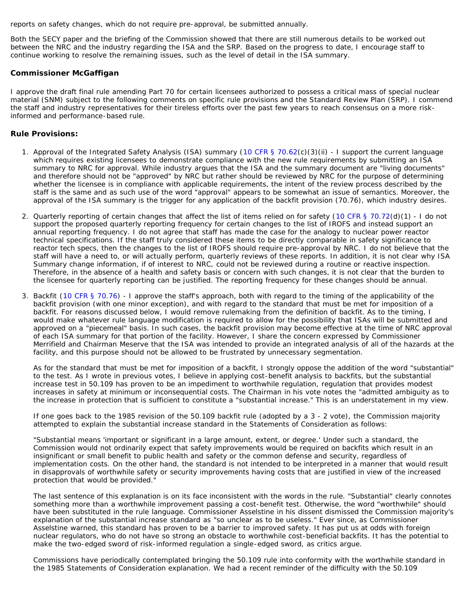reports on safety changes, which do not require pre-approval, be submitted annually.

Both the SECY paper and the briefing of the Commission showed that there are still numerous details to be worked out between the NRC and the industry regarding the ISA and the SRP. Based on the progress to date, I encourage staff to continue working to resolve the remaining issues, such as the level of detail in the ISA summary.

### **Commissioner McGaffigan**

I approve the draft final rule amending Part 70 for certain licensees authorized to possess a critical mass of special nuclear material (SNM) subject to the following comments on specific rule provisions and the Standard Review Plan (SRP). I commend the staff and industry representatives for their tireless efforts over the past few years to reach consensus on a more riskinformed and performance-based rule.

### *Rule Provisions***:**

- 1. Approval of the Integrated Safety Analysis (ISA) summary ([10 CFR §](http://www.nrc.gov/reading-rm/doc-collections/cfr/part070/part070-0062.html) 70.62(c)(3)(ii) I support the current language which requires existing licensees to demonstrate compliance with the new rule requirements by submitting an ISA summary to NRC for approval. While industry argues that the ISA and the summary document are "living documents" and therefore should not be "approved" by NRC but rather should be reviewed by NRC for the purpose of determining whether the licensee is in compliance with applicable requirements, the intent of the review process described by the staff is the same and as such use of the word "approval" appears to be somewhat an issue of semantics. Moreover, the approval of the ISA summary is the trigger for any application of the backfit provision (70.76), which industry desires.
- 2. Quarterly reporting of certain changes that affect the list of items relied on for safety ([10 CFR §](http://www.nrc.gov/reading-rm/doc-collections/cfr/part070/part070-0072.html) 70.72(d)(1) I do not support the proposed quarterly reporting frequency for certain changes to the list of IROFS and instead support an annual reporting frequency. I do not agree that staff has made the case for the analogy to nuclear power reactor technical specifications. If the staff truly considered these items to be directly comparable in safety significance to reactor tech specs, then the changes to the list of IROFS should require pre-approval by NRC. I do not believe that the staff will have a need to, or will actually perform, quarterly reviews of these reports. In addition, it is not clear why ISA Summary change information, if of interest to NRC, could not be reviewed during a routine or reactive inspection. Therefore, in the absence of a health and safety basis or concern with such changes, it is not clear that the burden to the licensee for quarterly reporting can be justified. The reporting frequency for these changes should be annual.
- 3. Backfit ([10 CFR §](http://www.nrc.gov/reading-rm/doc-collections/cfr/part070/part070-0076.html) 70.76) I approve the staff's approach, both with regard to the timing of the applicability of the backfit provision (with one minor exception), and with regard to the standard that must be met for imposition of a backfit. For reasons discussed below, I would remove rulemaking from the definition of backfit. As to the timing, I would make whatever rule language modification is required to allow for the possibility that ISAs will be submitted and approved on a "piecemeal" basis. In such cases, the backfit provision may become effective at the time of NRC approval of each ISA summary for that portion of the facility. However, I share the concern expressed by Commissioner Merrifield and Chairman Meserve that the ISA was intended to provide an integrated analysis of all of the hazards at the facility, and this purpose should not be allowed to be frustrated by unnecessary segmentation.

As for the standard that must be met for imposition of a backfit, I strongly oppose the addition of the word "substantial" to the test. As I wrote in previous votes, I believe in applying cost-benefit analysis to backfits, but the substantial increase test in 50.109 has proven to be an impediment to worthwhile regulation, regulation that provides modest increases in safety at minimum or inconsequential costs. The Chairman in his vote notes the "admitted ambiguity as to the increase in protection that is sufficient to constitute a "substantial increase." This is an understatement in my view.

If one goes back to the 1985 revision of the 50.109 backfit rule (adopted by a 3 - 2 vote), the Commission majority attempted to explain the substantial increase standard in the Statements of Consideration as follows:

"Substantial means 'important or significant in a large amount, extent, or degree.' Under such a standard, the Commission would not ordinarily expect that safety improvements would be required on backfits which result in an insignificant or small benefit to public health and safety or the common defense and security, regardless of implementation costs. On the other hand, the standard is not intended to be interpreted in a manner that would result in disapprovals of worthwhile safety or security improvements having costs that are justified in view of the increased protection that would be provided."

The last sentence of this explanation is on its face inconsistent with the words in the rule. "Substantial" clearly connotes something more than a worthwhile improvement passing a cost-benefit test. Otherwise, the word "worthwhile" should have been substituted in the rule language. Commissioner Asselstine in his dissent dismissed the Commission majority's explanation of the substantial increase standard as "so unclear as to be useless." Ever since, as Commissioner Asselstine warned, this standard has proven to be a barrier to improved safety. It has put us at odds with foreign nuclear regulators, who do not have so strong an obstacle to worthwhile cost-beneficial backfits. It has the potential to make the two-edged sword of risk-informed regulation a single-edged sword, as critics argue.

Commissions have periodically contemplated bringing the 50.109 rule into conformity with the worthwhile standard in the 1985 Statements of Consideration explanation. We had a recent reminder of the difficulty with the 50.109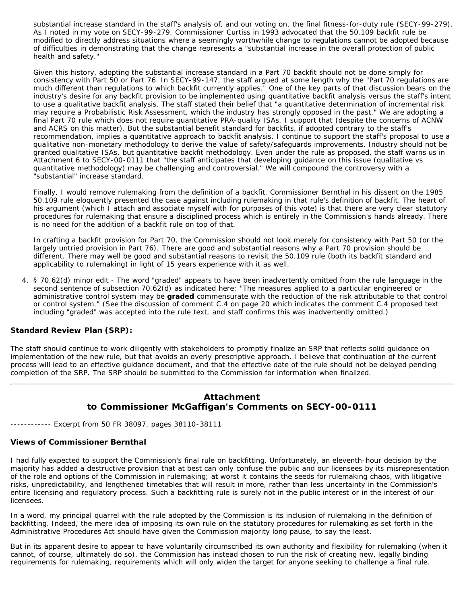substantial increase standard in the staff's analysis of, and our voting on, the final fitness-for-duty rule (SECY-99-279). As I noted in my vote on SECY-99-279, Commissioner Curtiss in 1993 advocated that the 50.109 backfit rule be modified to directly address situations where a seemingly worthwhile change to regulations cannot be adopted because of difficulties in demonstrating that the change represents a "substantial increase in the overall protection of public health and safety."

Given this history, adopting the substantial increase standard in a Part 70 backfit should not be done simply for consistency with Part 50 or Part 76. In SECY-99-147, the staff argued at some length why the "Part 70 regulations are much different than regulations to which backfit currently applies." One of the key parts of that discussion bears on the industry's desire for any backfit provision to be implemented using quantitative backfit analysis versus the staff's intent to use a qualitative backfit analysis. The staff stated their belief that "a quantitative determination of incremental risk may require a Probabilistic Risk Assessment, which the industry has strongly opposed in the past." We are adopting a final Part 70 rule which does not require quantitative PRA-quality ISAs. I support that (despite the concerns of ACNW and ACRS on this matter). But the substantial benefit standard for backfits, if adopted contrary to the staff's recommendation, implies a quantitative approach to backfit analysis. I continue to support the staff's proposal to use a qualitative non-monetary methodology to derive the value of safety/safeguards improvements. Industry should not be granted qualitative ISAs, but quantitative backfit methodology. Even under the rule as proposed, the staff warns us in Attachment 6 to SECY-00-0111 that "the staff anticipates that developing guidance on this issue (qualitative vs quantitative methodology) may be challenging and controversial." We will compound the controversy with a "substantial" increase standard.

Finally, I would remove rulemaking from the definition of a backfit. Commissioner Bernthal in his dissent on the 1985 50.109 rule eloquently presented the case against including rulemaking in that rule's definition of backfit. The heart of his argument (which I attach and associate myself with for purposes of this vote) is that there are very clear statutory procedures for rulemaking that ensure a disciplined process which is entirely in the Commission's hands already. There is no need for the addition of a backfit rule on top of that.

In crafting a backfit provision for Part 70, the Commission should not look merely for consistency with Part 50 (or the largely untried provision in Part 76). There are good and substantial reasons why a Part 70 provision should be different. There may well be good and substantial reasons to revisit the 50.109 rule (both its backfit standard and applicability to rulemaking) in light of 15 years experience with it as well.

4. § 70.62(d) minor edit - The word "graded" appears to have been inadvertently omitted from the rule language in the second sentence of subsection 70.62(d) as indicated here: "The measures applied to a particular engineered or administrative control system may be **graded** commensurate with the reduction of the risk attributable to that control or control system." (See the discussion of comment C.4 on page 20 which indicates the comment C.4 proposed text including "graded" was accepted into the rule text, and staff confirms this was inadvertently omitted.)

### **Standard Review Plan (SRP):**

The staff should continue to work diligently with stakeholders to promptly finalize an SRP that reflects solid guidance on implementation of the new rule, but that avoids an overly prescriptive approach. I believe that continuation of the current process will lead to an effective guidance document, and that the effective date of the rule should not be delayed pending completion of the SRP. The SRP should be submitted to the Commission for information when finalized.

# **Attachment to Commissioner McGaffigan's Comments on SECY-00-0111**

------------ Excerpt from 50 FR 38097, pages 38110-38111

### **Views of Commissioner Bernthal**

I had fully expected to support the Commission's final rule on backfitting. Unfortunately, an eleventh-hour decision by the majority has added a destructive provision that at best can only confuse the public and our licensees by its misrepresentation of the role and options of the Commission in rulemaking; at worst it contains the seeds for rulemaking chaos, with litigative risks, unpredictability, and lengthened timetables that will result in more, rather than less uncertainty in the Commission's entire licensing and regulatory process. Such a backfitting rule is surely not in the public interest or in the interest of our licensees.

In a word, my principal quarrel with the rule adopted by the Commission is its inclusion of rulemaking in the definition of backfitting. Indeed, the mere idea of imposing its own rule on the statutory procedures for rulemaking as set forth in the Administrative Procedures Act should have given the Commission majority long pause, to say the least.

But in its apparent desire to appear to have voluntarily circumscribed its own authority and flexibility for rulemaking (when it cannot, of course, ultimately do so), the Commission has instead chosen to run the risk of creating new, legally binding requirements for rulemaking, requirements which will only widen the target for anyone seeking to challenge a final rule.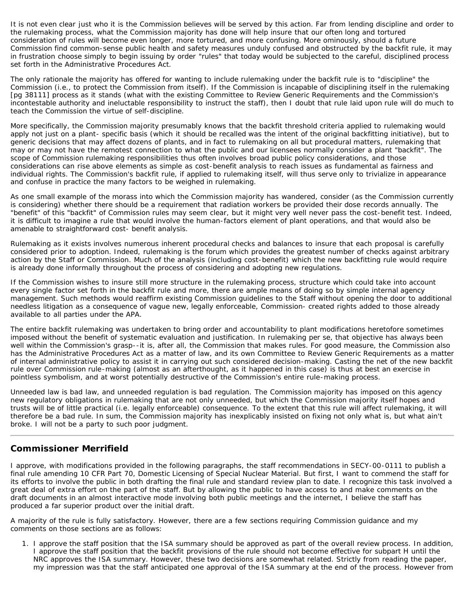It is not even clear just who it is the Commission believes will be served by this action. Far from lending discipline and order to the rulemaking process, what the Commission majority has done will help insure that our often long and tortured consideration of rules will become even longer, more tortured, and more confusing. More ominously, should a future Commission find common-sense public health and safety measures unduly confused and obstructed by the backfit rule, it may in frustration choose simply to begin issuing by order "rules" that today would be subjected to the careful, disciplined process set forth in the Administrative Procedures Act.

The only rationale the majority has offered for wanting to include rulemaking under the backfit rule is to "discipline" the Commission (i.e., to protect the Commission from itself). If the Commission is incapable of disciplining itself in the rulemaking [pg 38111] process as it stands (what with the existing Committee to Review Generic Requirements and the Commission's incontestable authority and ineluctable responsibility to instruct the staff), then I doubt that rule laid upon rule will do much to teach the Commission the virtue of self-discipline.

More specifically, the Commission majority presumably knows that the backfit threshold criteria applied to rulemaking would apply not just on a plant- specific basis (which it should be recalled was the intent of the original backfitting initiative), but to generic decisions that may affect dozens of plants, and in fact to rulemaking on all but procedural matters, rulemaking that may or may not have the remotest connection to what the public and our licensees normally consider a plant "backfit". The scope of Commission rulemaking responsibilities thus often involves broad public policy considerations, and those considerations can rise above elements as simple as cost-benefit analysis to reach issues as fundamental as fairness and individual rights. The Commission's backfit rule, if applied to rulemaking itself, will thus serve only to trivialize in appearance and confuse in practice the many factors to be weighed in rulemaking.

As one small example of the morass into which the Commission majority has wandered, consider (as the Commission currently is considering) whether there should be a requirement that radiation workers be provided their dose records annually. The "benefit" of this "backfit" of Commission rules may seem clear, but it might very well never pass the cost-benefit test. Indeed, it is difficult to imagine a rule that would involve the human-factors element of plant operations, and that would also be amenable to straightforward cost- benefit analysis.

Rulemaking as it exists involves numerous inherent procedural checks and balances to insure that each proposal is carefully considered prior to adoption. Indeed, rulemaking is the forum which provides the greatest number of checks against arbitrary action by the Staff or Commission. Much of the analysis (including cost-benefit) which the new backfitting rule would require is already done informally throughout the process of considering and adopting new regulations.

If the Commission wishes to insure still more structure in the rulemaking process, structure which could take into account every single factor set forth in the backfit rule and more, there are ample means of doing so by simple internal agency management. Such methods would reaffirm existing Commission guidelines to the Staff without opening the door to additional needless litigation as a consequence of vague new, legally enforceable, Commission- created rights added to those already available to all parties under the APA.

The entire backfit rulemaking was undertaken to bring order and accountability to plant modifications heretofore sometimes imposed without the benefit of systematic evaluation and justification. In rulemaking per se, that objective has always been well within the Commission's grasp--it is, after all, the Commission that makes rules. For good measure, the Commission also has the Administrative Procedures Act as a matter of law, and its own Committee to Review Generic Requirements as a matter of internal administrative policy to assist it in carrying out such considered decision-making. Casting the net of the new backfit rule over Commission rule-making (almost as an afterthought, as it happened in this case) is thus at best an exercise in pointless symbolism, and at worst potentially destructive of the Commission's entire rule-making process.

Unneeded law is bad law, and unneeded regulation is bad regulation. The Commission majority has imposed on this agency new regulatory obligations in rulemaking that are not only unneeded, but which the Commission majority itself hopes and trusts will be of little practical (i.e. legally enforceable) consequence. To the extent that this rule will affect rulemaking, it will therefore be a bad rule. In sum, the Commission majority has inexplicably insisted on fixing not only what is, but what ain't broke. I will not be a party to such poor judgment.

# **Commissioner Merrifield**

I approve, with modifications provided in the following paragraphs, the staff recommendations in SECY-00-0111 to publish a final rule amending 10 CFR Part 70, Domestic Licensing of Special Nuclear Material. But first, I want to commend the staff for its efforts to involve the public in both drafting the final rule and standard review plan to date. I recognize this task involved a great deal of extra effort on the part of the staff. But by allowing the public to have access to and make comments on the draft documents in an almost interactive mode involving both public meetings and the internet, I believe the staff has produced a far superior product over the initial draft.

A majority of the rule is fully satisfactory. However, there are a few sections requiring Commission guidance and my comments on those sections are as follows:

1. I approve the staff position that the ISA summary should be approved as part of the overall review process. In addition, I approve the staff position that the backfit provisions of the rule should not become effective for subpart H until the NRC approves the ISA summary. However, these two decisions are somewhat related. Strictly from reading the paper, my impression was that the staff anticipated one approval of the ISA summary at the end of the process. However from